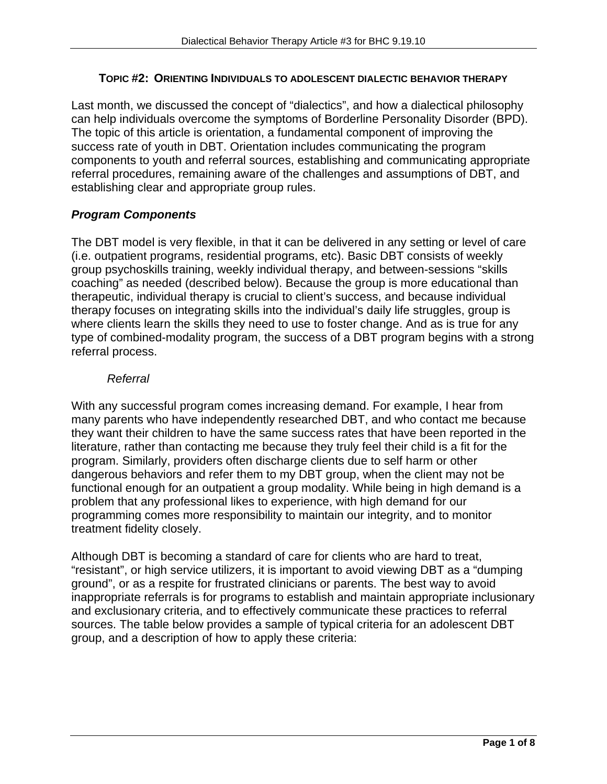#### **TOPIC #2: ORIENTING INDIVIDUALS TO ADOLESCENT DIALECTIC BEHAVIOR THERAPY**

Last month, we discussed the concept of "dialectics", and how a dialectical philosophy can help individuals overcome the symptoms of Borderline Personality Disorder (BPD). The topic of this article is orientation, a fundamental component of improving the success rate of youth in DBT. Orientation includes communicating the program components to youth and referral sources, establishing and communicating appropriate referral procedures, remaining aware of the challenges and assumptions of DBT, and establishing clear and appropriate group rules.

### *Program Components*

The DBT model is very flexible, in that it can be delivered in any setting or level of care (i.e. outpatient programs, residential programs, etc). Basic DBT consists of weekly group psychoskills training, weekly individual therapy, and between-sessions "skills coaching" as needed (described below). Because the group is more educational than therapeutic, individual therapy is crucial to client's success, and because individual therapy focuses on integrating skills into the individual's daily life struggles, group is where clients learn the skills they need to use to foster change. And as is true for any type of combined-modality program, the success of a DBT program begins with a strong referral process.

#### *Referral*

With any successful program comes increasing demand. For example, I hear from many parents who have independently researched DBT, and who contact me because they want their children to have the same success rates that have been reported in the literature, rather than contacting me because they truly feel their child is a fit for the program. Similarly, providers often discharge clients due to self harm or other dangerous behaviors and refer them to my DBT group, when the client may not be functional enough for an outpatient a group modality. While being in high demand is a problem that any professional likes to experience, with high demand for our programming comes more responsibility to maintain our integrity, and to monitor treatment fidelity closely.

Although DBT is becoming a standard of care for clients who are hard to treat, "resistant", or high service utilizers, it is important to avoid viewing DBT as a "dumping ground", or as a respite for frustrated clinicians or parents. The best way to avoid inappropriate referrals is for programs to establish and maintain appropriate inclusionary and exclusionary criteria, and to effectively communicate these practices to referral sources. The table below provides a sample of typical criteria for an adolescent DBT group, and a description of how to apply these criteria: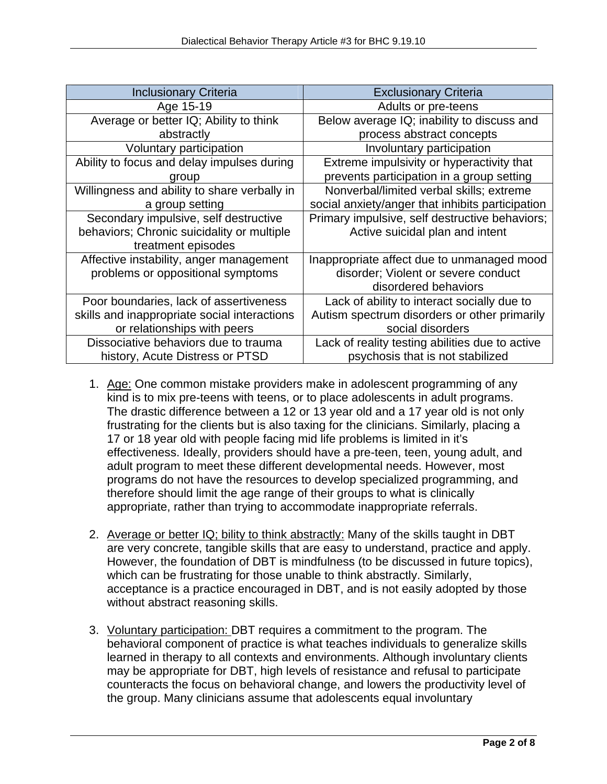| <b>Inclusionary Criteria</b>                 | <b>Exclusionary Criteria</b>                     |
|----------------------------------------------|--------------------------------------------------|
| Age 15-19                                    | Adults or pre-teens                              |
| Average or better IQ; Ability to think       | Below average IQ; inability to discuss and       |
| abstractly                                   | process abstract concepts                        |
| Voluntary participation                      | Involuntary participation                        |
| Ability to focus and delay impulses during   | Extreme impulsivity or hyperactivity that        |
| group                                        | prevents participation in a group setting        |
| Willingness and ability to share verbally in | Nonverbal/limited verbal skills; extreme         |
| a group setting                              | social anxiety/anger that inhibits participation |
| Secondary impulsive, self destructive        | Primary impulsive, self destructive behaviors;   |
| behaviors; Chronic suicidality or multiple   | Active suicidal plan and intent                  |
| treatment episodes                           |                                                  |
| Affective instability, anger management      | Inappropriate affect due to unmanaged mood       |
| problems or oppositional symptoms            | disorder; Violent or severe conduct              |
|                                              | disordered behaviors                             |
| Poor boundaries, lack of assertiveness       | Lack of ability to interact socially due to      |
| skills and inappropriate social interactions | Autism spectrum disorders or other primarily     |
| or relationships with peers                  | social disorders                                 |
| Dissociative behaviors due to trauma         | Lack of reality testing abilities due to active  |
| history, Acute Distress or PTSD              | psychosis that is not stabilized                 |

- 1. Age: One common mistake providers make in adolescent programming of any kind is to mix pre-teens with teens, or to place adolescents in adult programs. The drastic difference between a 12 or 13 year old and a 17 year old is not only frustrating for the clients but is also taxing for the clinicians. Similarly, placing a 17 or 18 year old with people facing mid life problems is limited in it's effectiveness. Ideally, providers should have a pre-teen, teen, young adult, and adult program to meet these different developmental needs. However, most programs do not have the resources to develop specialized programming, and therefore should limit the age range of their groups to what is clinically appropriate, rather than trying to accommodate inappropriate referrals.
- 2. Average or better IQ; bility to think abstractly: Many of the skills taught in DBT are very concrete, tangible skills that are easy to understand, practice and apply. However, the foundation of DBT is mindfulness (to be discussed in future topics), which can be frustrating for those unable to think abstractly. Similarly, acceptance is a practice encouraged in DBT, and is not easily adopted by those without abstract reasoning skills.
- 3. Voluntary participation: DBT requires a commitment to the program. The behavioral component of practice is what teaches individuals to generalize skills learned in therapy to all contexts and environments. Although involuntary clients may be appropriate for DBT, high levels of resistance and refusal to participate counteracts the focus on behavioral change, and lowers the productivity level of the group. Many clinicians assume that adolescents equal involuntary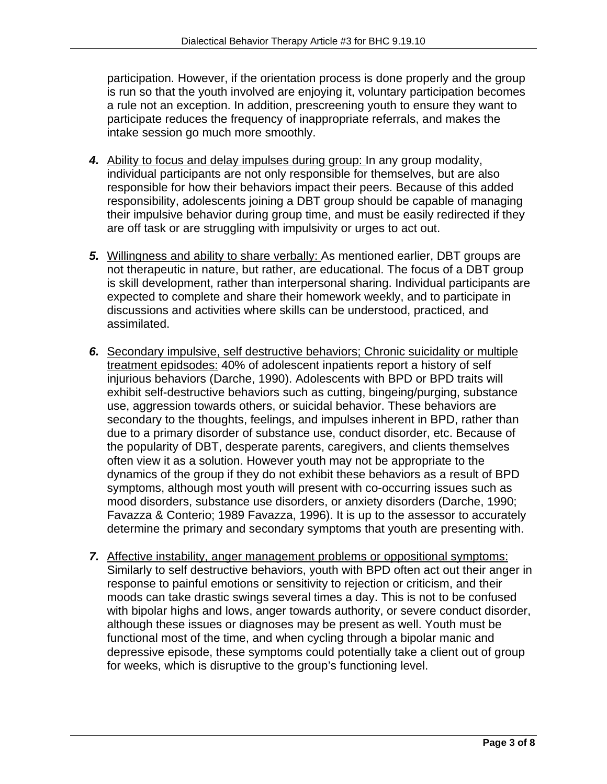participation. However, if the orientation process is done properly and the group is run so that the youth involved are enjoying it, voluntary participation becomes a rule not an exception. In addition, prescreening youth to ensure they want to participate reduces the frequency of inappropriate referrals, and makes the intake session go much more smoothly.

- *4.* Ability to focus and delay impulses during group: In any group modality, individual participants are not only responsible for themselves, but are also responsible for how their behaviors impact their peers. Because of this added responsibility, adolescents joining a DBT group should be capable of managing their impulsive behavior during group time, and must be easily redirected if they are off task or are struggling with impulsivity or urges to act out.
- *5.* Willingness and ability to share verbally: As mentioned earlier, DBT groups are not therapeutic in nature, but rather, are educational. The focus of a DBT group is skill development, rather than interpersonal sharing. Individual participants are expected to complete and share their homework weekly, and to participate in discussions and activities where skills can be understood, practiced, and assimilated.
- *6.* Secondary impulsive, self destructive behaviors; Chronic suicidality or multiple treatment epidsodes: 40% of adolescent inpatients report a history of self injurious behaviors (Darche, 1990). Adolescents with BPD or BPD traits will exhibit self-destructive behaviors such as cutting, bingeing/purging, substance use, aggression towards others, or suicidal behavior. These behaviors are secondary to the thoughts, feelings, and impulses inherent in BPD, rather than due to a primary disorder of substance use, conduct disorder, etc. Because of the popularity of DBT, desperate parents, caregivers, and clients themselves often view it as a solution. However youth may not be appropriate to the dynamics of the group if they do not exhibit these behaviors as a result of BPD symptoms, although most youth will present with co-occurring issues such as mood disorders, substance use disorders, or anxiety disorders (Darche, 1990; Favazza & Conterio; 1989 Favazza, 1996). It is up to the assessor to accurately determine the primary and secondary symptoms that youth are presenting with.
- *7.* Affective instability, anger management problems or oppositional symptoms: Similarly to self destructive behaviors, youth with BPD often act out their anger in response to painful emotions or sensitivity to rejection or criticism, and their moods can take drastic swings several times a day. This is not to be confused with bipolar highs and lows, anger towards authority, or severe conduct disorder, although these issues or diagnoses may be present as well. Youth must be functional most of the time, and when cycling through a bipolar manic and depressive episode, these symptoms could potentially take a client out of group for weeks, which is disruptive to the group's functioning level.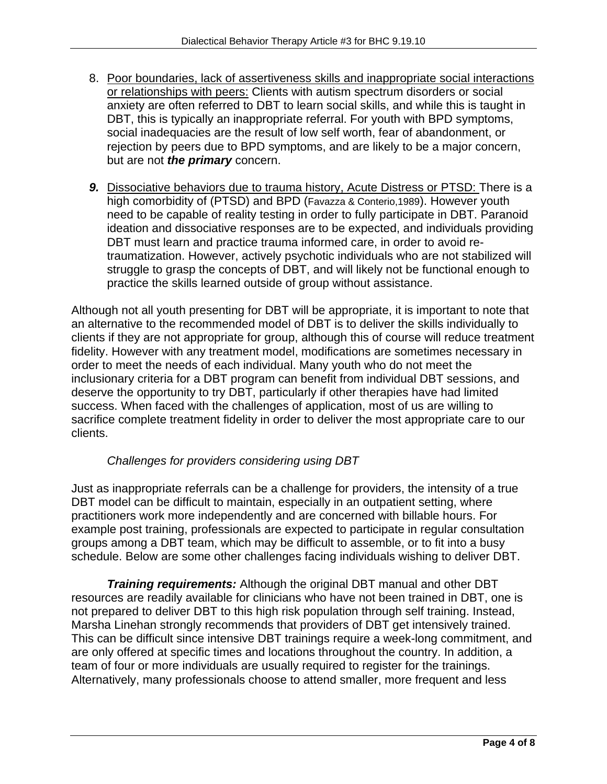- 8. Poor boundaries, lack of assertiveness skills and inappropriate social interactions or relationships with peers: Clients with autism spectrum disorders or social anxiety are often referred to DBT to learn social skills, and while this is taught in DBT, this is typically an inappropriate referral. For youth with BPD symptoms, social inadequacies are the result of low self worth, fear of abandonment, or rejection by peers due to BPD symptoms, and are likely to be a major concern, but are not *the primary* concern.
- *9.* Dissociative behaviors due to trauma history, Acute Distress or PTSD: There is a high comorbidity of (PTSD) and BPD (Favazza & Conterio,1989). However youth need to be capable of reality testing in order to fully participate in DBT. Paranoid ideation and dissociative responses are to be expected, and individuals providing DBT must learn and practice trauma informed care, in order to avoid retraumatization. However, actively psychotic individuals who are not stabilized will struggle to grasp the concepts of DBT, and will likely not be functional enough to practice the skills learned outside of group without assistance.

Although not all youth presenting for DBT will be appropriate, it is important to note that an alternative to the recommended model of DBT is to deliver the skills individually to clients if they are not appropriate for group, although this of course will reduce treatment fidelity. However with any treatment model, modifications are sometimes necessary in order to meet the needs of each individual. Many youth who do not meet the inclusionary criteria for a DBT program can benefit from individual DBT sessions, and deserve the opportunity to try DBT, particularly if other therapies have had limited success. When faced with the challenges of application, most of us are willing to sacrifice complete treatment fidelity in order to deliver the most appropriate care to our clients.

## *Challenges for providers considering using DBT*

Just as inappropriate referrals can be a challenge for providers, the intensity of a true DBT model can be difficult to maintain, especially in an outpatient setting, where practitioners work more independently and are concerned with billable hours. For example post training, professionals are expected to participate in regular consultation groups among a DBT team, which may be difficult to assemble, or to fit into a busy schedule. Below are some other challenges facing individuals wishing to deliver DBT.

*Training requirements:* Although the original DBT manual and other DBT resources are readily available for clinicians who have not been trained in DBT, one is not prepared to deliver DBT to this high risk population through self training. Instead, Marsha Linehan strongly recommends that providers of DBT get intensively trained. This can be difficult since intensive DBT trainings require a week-long commitment, and are only offered at specific times and locations throughout the country. In addition, a team of four or more individuals are usually required to register for the trainings. Alternatively, many professionals choose to attend smaller, more frequent and less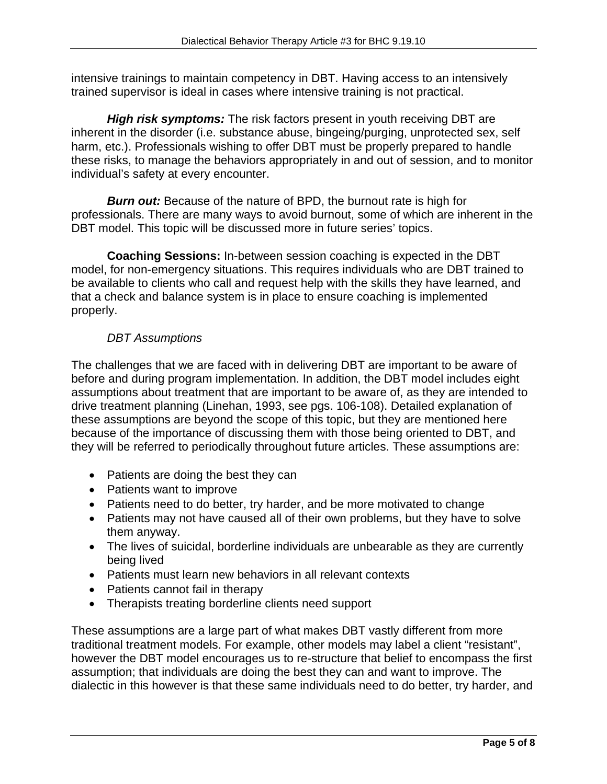intensive trainings to maintain competency in DBT. Having access to an intensively trained supervisor is ideal in cases where intensive training is not practical.

*High risk symptoms:* The risk factors present in youth receiving DBT are inherent in the disorder (i.e. substance abuse, bingeing/purging, unprotected sex, self harm, etc.). Professionals wishing to offer DBT must be properly prepared to handle these risks, to manage the behaviors appropriately in and out of session, and to monitor individual's safety at every encounter.

**Burn out:** Because of the nature of BPD, the burnout rate is high for professionals. There are many ways to avoid burnout, some of which are inherent in the DBT model. This topic will be discussed more in future series' topics.

 **Coaching Sessions:** In-between session coaching is expected in the DBT model, for non-emergency situations. This requires individuals who are DBT trained to be available to clients who call and request help with the skills they have learned, and that a check and balance system is in place to ensure coaching is implemented properly.

# *DBT Assumptions*

The challenges that we are faced with in delivering DBT are important to be aware of before and during program implementation. In addition, the DBT model includes eight assumptions about treatment that are important to be aware of, as they are intended to drive treatment planning (Linehan, 1993, see pgs. 106-108). Detailed explanation of these assumptions are beyond the scope of this topic, but they are mentioned here because of the importance of discussing them with those being oriented to DBT, and they will be referred to periodically throughout future articles. These assumptions are:

- Patients are doing the best they can
- Patients want to improve
- Patients need to do better, try harder, and be more motivated to change
- Patients may not have caused all of their own problems, but they have to solve them anyway.
- The lives of suicidal, borderline individuals are unbearable as they are currently being lived
- Patients must learn new behaviors in all relevant contexts
- Patients cannot fail in therapy
- Therapists treating borderline clients need support

These assumptions are a large part of what makes DBT vastly different from more traditional treatment models. For example, other models may label a client "resistant", however the DBT model encourages us to re-structure that belief to encompass the first assumption; that individuals are doing the best they can and want to improve. The dialectic in this however is that these same individuals need to do better, try harder, and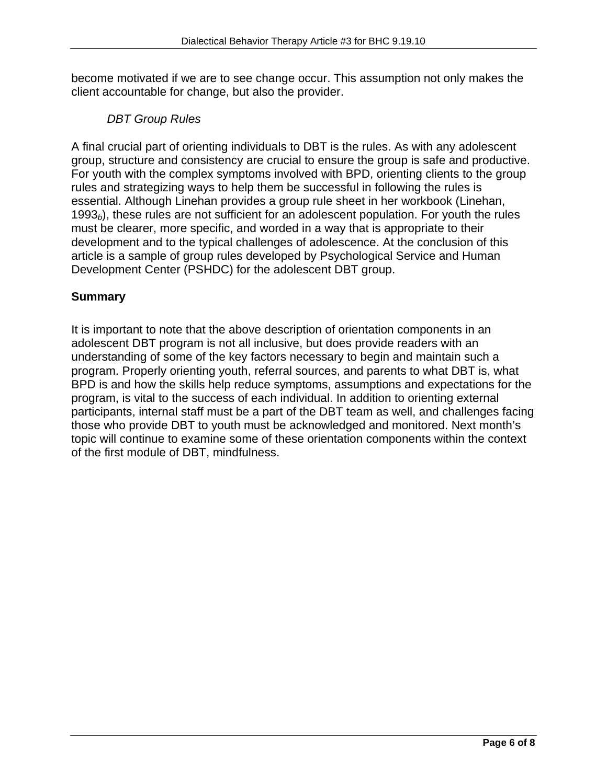become motivated if we are to see change occur. This assumption not only makes the client accountable for change, but also the provider.

## *DBT Group Rules*

A final crucial part of orienting individuals to DBT is the rules. As with any adolescent group, structure and consistency are crucial to ensure the group is safe and productive. For youth with the complex symptoms involved with BPD, orienting clients to the group rules and strategizing ways to help them be successful in following the rules is essential. Although Linehan provides a group rule sheet in her workbook (Linehan, 1993*b*), these rules are not sufficient for an adolescent population. For youth the rules must be clearer, more specific, and worded in a way that is appropriate to their development and to the typical challenges of adolescence. At the conclusion of this article is a sample of group rules developed by Psychological Service and Human Development Center (PSHDC) for the adolescent DBT group.

## **Summary**

It is important to note that the above description of orientation components in an adolescent DBT program is not all inclusive, but does provide readers with an understanding of some of the key factors necessary to begin and maintain such a program. Properly orienting youth, referral sources, and parents to what DBT is, what BPD is and how the skills help reduce symptoms, assumptions and expectations for the program, is vital to the success of each individual. In addition to orienting external participants, internal staff must be a part of the DBT team as well, and challenges facing those who provide DBT to youth must be acknowledged and monitored. Next month's topic will continue to examine some of these orientation components within the context of the first module of DBT, mindfulness.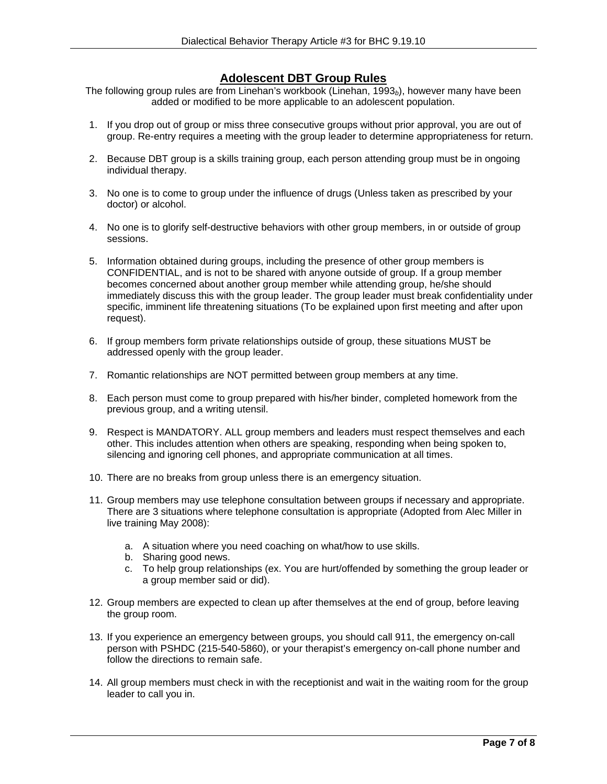#### **Adolescent DBT Group Rules**

The following group rules are from Linehan's workbook (Linehan, 1993<sub>b</sub>), however many have been added or modified to be more applicable to an adolescent population.

- 1. If you drop out of group or miss three consecutive groups without prior approval, you are out of group. Re-entry requires a meeting with the group leader to determine appropriateness for return.
- 2. Because DBT group is a skills training group, each person attending group must be in ongoing individual therapy.
- 3. No one is to come to group under the influence of drugs (Unless taken as prescribed by your doctor) or alcohol.
- 4. No one is to glorify self-destructive behaviors with other group members, in or outside of group sessions.
- 5. Information obtained during groups, including the presence of other group members is CONFIDENTIAL, and is not to be shared with anyone outside of group. If a group member becomes concerned about another group member while attending group, he/she should immediately discuss this with the group leader. The group leader must break confidentiality under specific, imminent life threatening situations (To be explained upon first meeting and after upon request).
- 6. If group members form private relationships outside of group, these situations MUST be addressed openly with the group leader.
- 7. Romantic relationships are NOT permitted between group members at any time.
- 8. Each person must come to group prepared with his/her binder, completed homework from the previous group, and a writing utensil.
- 9. Respect is MANDATORY. ALL group members and leaders must respect themselves and each other. This includes attention when others are speaking, responding when being spoken to, silencing and ignoring cell phones, and appropriate communication at all times.
- 10. There are no breaks from group unless there is an emergency situation.
- 11. Group members may use telephone consultation between groups if necessary and appropriate. There are 3 situations where telephone consultation is appropriate (Adopted from Alec Miller in live training May 2008):
	- a. A situation where you need coaching on what/how to use skills.
	- b. Sharing good news.
	- c. To help group relationships (ex. You are hurt/offended by something the group leader or a group member said or did).
- 12. Group members are expected to clean up after themselves at the end of group, before leaving the group room.
- 13. If you experience an emergency between groups, you should call 911, the emergency on-call person with PSHDC (215-540-5860), or your therapist's emergency on-call phone number and follow the directions to remain safe.
- 14. All group members must check in with the receptionist and wait in the waiting room for the group leader to call you in.